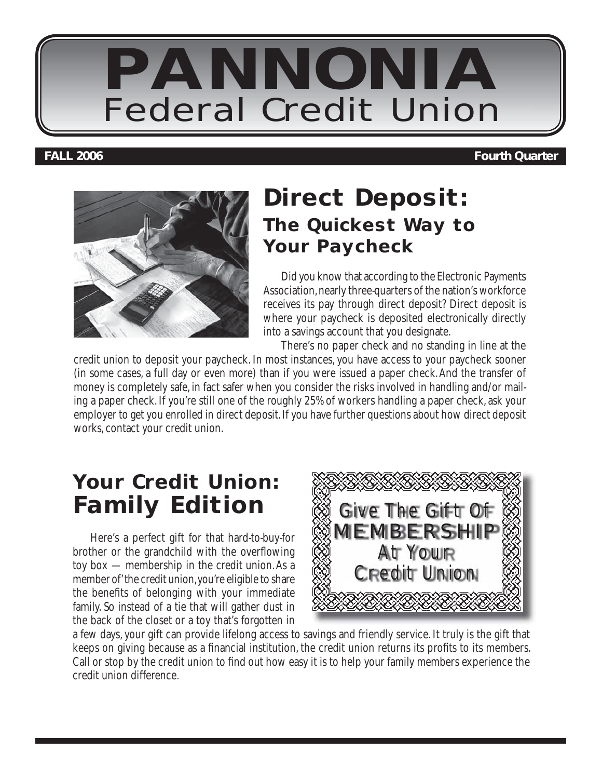

#### **FALL 2006 Fourth Quarter**



## **Direct Deposit: The Quickest Way to Your Paycheck**

Did you know that according to the Electronic Payments Association, nearly three-quarters of the nation's workforce receives its pay through direct deposit? Direct deposit is where your paycheck is deposited electronically directly into a savings account that you designate.

There's no paper check and no standing in line at the credit union to deposit your paycheck. In most instances, you have access to your paycheck sooner (in some cases, a full day or even more) than if you were issued a paper check. And the transfer of money is completely safe, in fact safer when you consider the risks involved in handling and/or mailing a paper check. If you're still one of the roughly 25% of workers handling a paper check, ask your employer to get you enrolled in direct deposit. If you have further questions about how direct deposit works, contact your credit union.

## **Your Credit Union: Family Edition**

Here's a perfect gift for that hard-to-buy-for brother or the grandchild with the overflowing toy box — membership in the credit union. As a member of' the credit union, you're eligible to share the benefits of belonging with your immediate family. So instead of a tie that will gather dust in the back of the closet or a toy that's forgotten in



a few days, your gift can provide lifelong access to savings and friendly service. It truly is the gift that keeps on giving because as a financial institution, the credit union returns its profits to its members. Call or stop by the credit union to find out how easy it is to help your family members experience the credit union difference.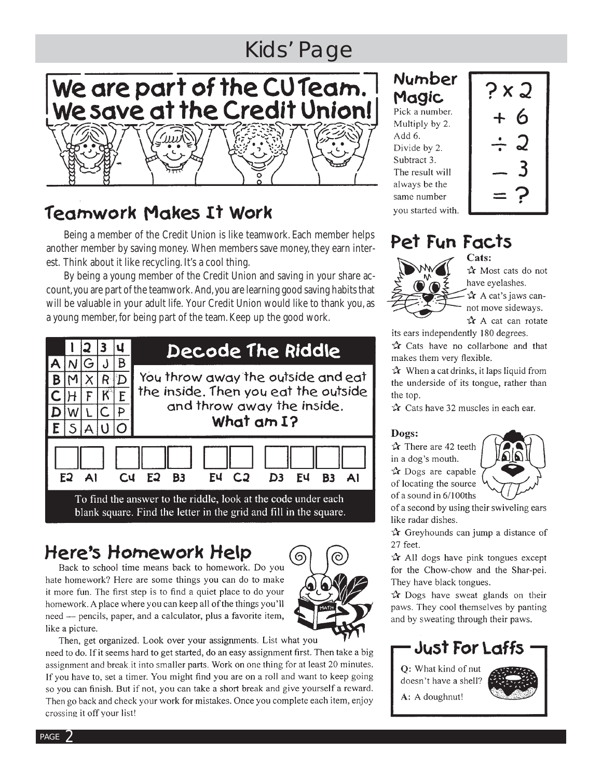## **Kids' Page**

# We are part of the CU Team.<br>We save at the Credit Union!

## Teamwork Makes It Work

Being a member of the Credit Union is like teamwork. Each member helps another member by saving money. When members save money, they earn interest. Think about it like recycling. It's a cool thing.

By being a young member of the Credit Union and saving in your share account, you are part of the teamwork. And, you are learning good saying habits that will be valuable in your adult life. Your Credit Union would like to thank you, as a young member, for being part of the team. Keep up the good work.



## Here's Homework Help

Back to school time means back to homework. Do you hate homework? Here are some things you can do to make it more fun. The first step is to find a quiet place to do your homework. A place where you can keep all of the things you'll need - pencils, paper, and a calculator, plus a favorite item, like a picture.



Then, get organized. Look over your assignments. List what you need to do. If it seems hard to get started, do an easy assignment first. Then take a big assignment and break it into smaller parts. Work on one thing for at least 20 minutes. If you have to, set a timer. You might find you are on a roll and want to keep going so you can finish. But if not, you can take a short break and give yourself a reward. Then go back and check your work for mistakes. Once you complete each item, enjoy crossing it off your list!

#### Number Magic Pick a number.

Multiply by 2. Add 6. Divide by 2. Subtract 3. The result will always be the same number you started with.



#### Pet Fun Facts Cats:



to Most cats do not have evelashes.

 $x^*$  A cat's jaws cannot move sideways.

 $x^*$  A cat can rotate its ears independently 180 degrees.

tx Cats have no collarbone and that makes them very flexible.

 $\mathbf{\hat{x}}$  When a cat drinks, it laps liquid from the underside of its tongue, rather than the top.

 $\hat{X}$  Cats have 32 muscles in each ear.

#### Dogs:

 $\mathbf{\hat{x}}$  There are 42 teeth in a dog's mouth. to Dogs are capable of locating the source of a sound in 6/100ths



of a second by using their swiveling ears like radar dishes.

 $\mathbf{\hat{x}}$  Greyhounds can jump a distance of 27 feet.

 $\mathbf{\hat{x}}$  All dogs have pink tongues except for the Chow-chow and the Shar-pei. They have black tongues.

 $\mathbf{\hat{x}}$  Dogs have sweat glands on their paws. They cool themselves by panting and by sweating through their paws.

## **Just For Laffs**

Q: What kind of nut doesn't have a shell?

A: A doughnut!



PAGE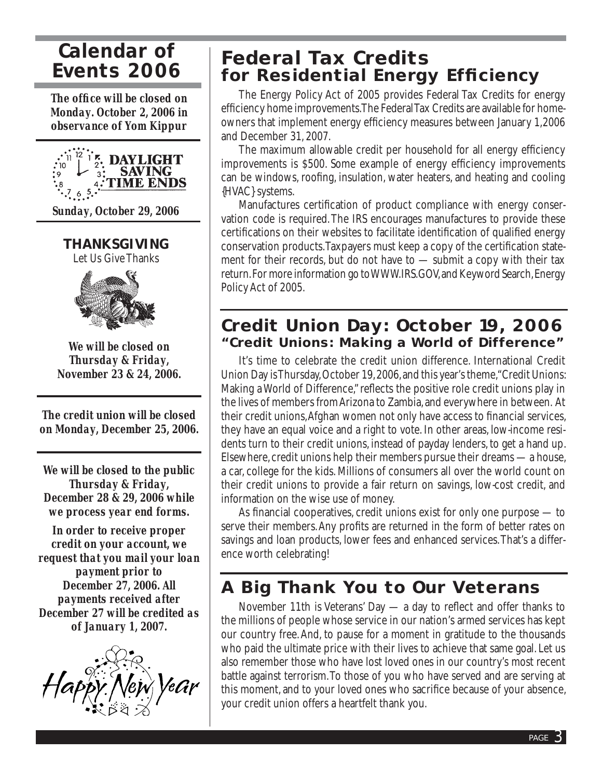## *Calendar of Events 2006*

*The offi ce will be closed on Monday. October 2, 2006 in observance of Yom Kippur*



*Sunday, October 29, 2006*

**THANKSGIVING**

Let Us Give Thanks



*We will be closed on Thursday & Friday, November 23 & 24, 2006.*

*The credit union will be closed on Monday, December 25, 2006.*

*We will be closed to the public Thursday & Friday, December 28 & 29, 2006 while we process year end forms.*

*In order to receive proper credit on your account, we request that you mail your loan payment prior to December 27, 2006. All payments received after December 27 will be credited as of January 1, 2007.*



## **Federal Tax Credits for Residential Energy Efficiency**

The Energy Policy Act of 2005 provides Federal Tax Credits for energy efficiency home improvements. The Federal Tax Credits are available for homeowners that implement energy efficiency measures between January 1,2006 and December 31, 2007.

The maximum allowable credit per household for all energy efficiency improvements is \$500. Some example of energy efficiency improvements can be windows, roofing, insulation, water heaters, and heating and cooling {HVAC} systems.

Manufactures certification of product compliance with energy conservation code is required. The IRS encourages manufactures to provide these certifications on their websites to facilitate identification of qualified energy conservation products. Taxpayers must keep a copy of the certification statement for their records, but do not have to  $-$  submit a copy with their tax return. For more information go to WWW.IRS.GOV, and Keyword Search, Energy Policy Act of 2005.

#### **Credit Union Day: October 19, 2006 "Credit Unions: Making a World of Difference"**

It's time to celebrate the credit union difference. International Credit Union Day is Thursday, October 19, 2006, and this year's theme, "Credit Unions: Making a World of Difference," reflects the positive role credit unions play in the lives of members from Arizona to Zambia, and everywhere in between. At their credit unions, Afghan women not only have access to financial services, they have an equal voice and a right to vote. In other areas, low-income residents turn to their credit unions, instead of payday lenders, to get a hand up. Elsewhere, credit unions help their members pursue their dreams — a house, a car, college for the kids. Millions of consumers all over the world count on their credit unions to provide a fair return on savings, low-cost credit, and information on the wise use of money.

As financial cooperatives, credit unions exist for only one purpose  $-$  to serve their members. Any profits are returned in the form of better rates on savings and loan products, lower fees and enhanced services. That's a difference worth celebrating!

## **A Big Thank You to Our Veterans**

November 11th is Veterans' Day  $-$  a day to reflect and offer thanks to the millions of people whose service in our nation's armed services has kept our country free. And, to pause for a moment in gratitude to the thousands who paid the ultimate price with their lives to achieve that same goal. Let us also remember those who have lost loved ones in our country's most recent battle against terrorism. To those of you who have served and are serving at this moment, and to your loved ones who sacrifice because of your absence, your credit union offers a heartfelt thank you.